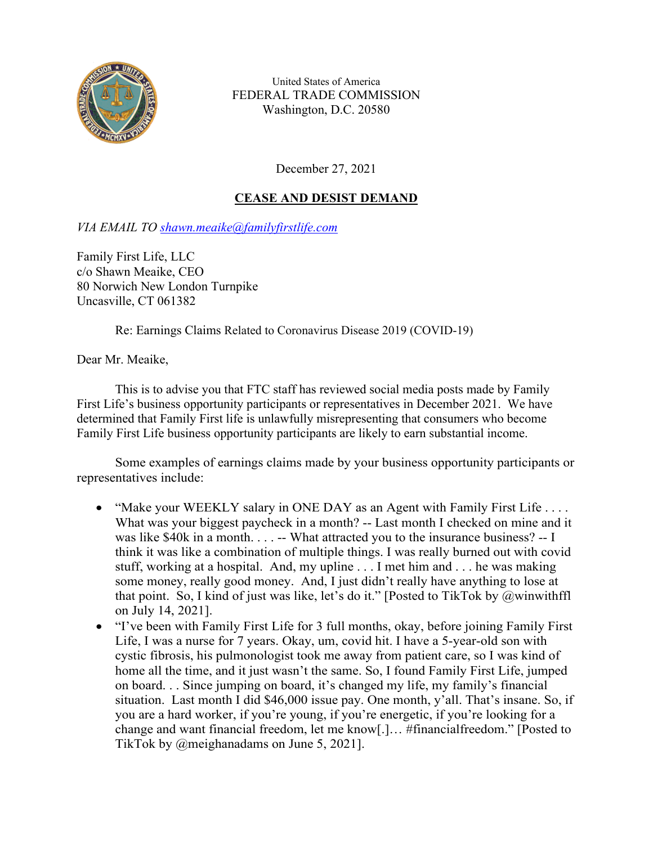

United States of America FEDERAL TRADE COMMISSION Washington, D.C. 20580

December 27, 2021

# **CEASE AND DESIST DEMAND**

*VIA EMAIL TO [shawn.meaike@familyfirstlife.com](mailto:shawn.meaike@familyfirstlife.com)*

Family First Life, LLC c/o Shawn Meaike, CEO 80 Norwich New London Turnpike Uncasville, CT 061382

Re: Earnings Claims Related to Coronavirus Disease 2019 (COVID-19)

Dear Mr. Meaike,

This is to advise you that FTC staff has reviewed social media posts made by Family First Life's business opportunity participants or representatives in December 2021. We have determined that Family First life is unlawfully misrepresenting that consumers who become Family First Life business opportunity participants are likely to earn substantial income.

Some examples of earnings claims made by your business opportunity participants or representatives include:

- "Make your WEEKLY salary in ONE DAY as an Agent with Family First Life .... What was your biggest paycheck in a month? -- Last month I checked on mine and it was like \$40k in a month. . . . -- What attracted you to the insurance business? -- I think it was like a combination of multiple things. I was really burned out with covid stuff, working at a hospital. And, my upline . . . I met him and . . . he was making some money, really good money. And, I just didn't really have anything to lose at that point. So, I kind of just was like, let's do it." [Posted to TikTok by @winwithffl on July 14, 2021].
- "I've been with Family First Life for 3 full months, okay, before joining Family First Life, I was a nurse for 7 years. Okay, um, covid hit. I have a 5-year-old son with cystic fibrosis, his pulmonologist took me away from patient care, so I was kind of home all the time, and it just wasn't the same. So, I found Family First Life, jumped on board. . . Since jumping on board, it's changed my life, my family's financial situation. Last month I did \$46,000 issue pay. One month, y'all. That's insane. So, if you are a hard worker, if you're young, if you're energetic, if you're looking for a change and want financial freedom, let me know[.]… #financialfreedom." [Posted to TikTok by @meighanadams on June 5, 2021].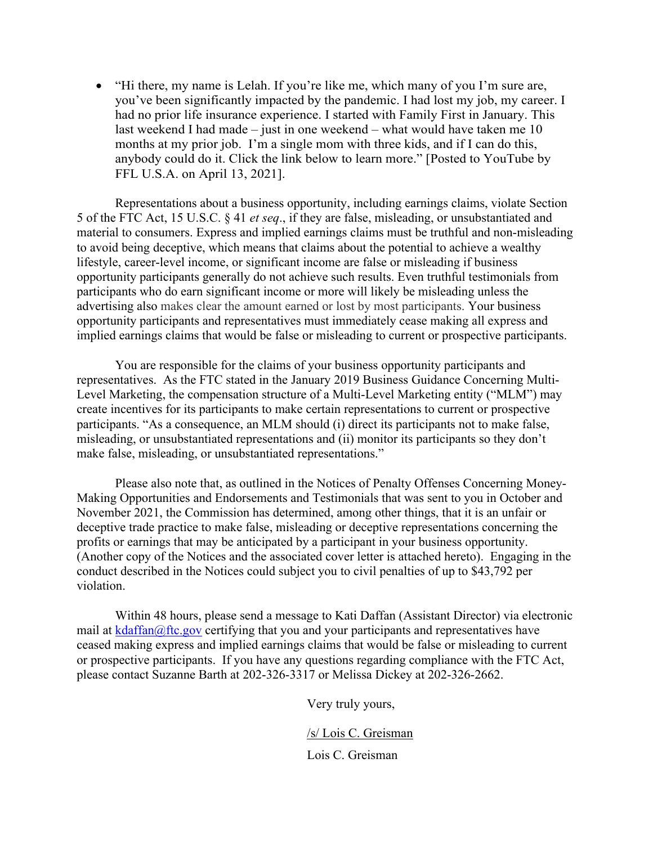• "Hi there, my name is Lelah. If you're like me, which many of you I'm sure are, you've been significantly impacted by the pandemic. I had lost my job, my career. I had no prior life insurance experience. I started with Family First in January. This last weekend I had made – just in one weekend – what would have taken me 10 months at my prior job. I'm a single mom with three kids, and if I can do this, anybody could do it. Click the link below to learn more." [Posted to YouTube by FFL U.S.A. on April 13, 2021].

Representations about a business opportunity, including earnings claims, violate Section 5 of the FTC Act, 15 U.S.C. § 41 *et seq*., if they are false, misleading, or unsubstantiated and material to consumers. Express and implied earnings claims must be truthful and non-misleading to avoid being deceptive, which means that claims about the potential to achieve a wealthy lifestyle, career-level income, or significant income are false or misleading if business opportunity participants generally do not achieve such results. Even truthful testimonials from participants who do earn significant income or more will likely be misleading unless the advertising also makes clear the amount earned or lost by most participants. Your business opportunity participants and representatives must immediately cease making all express and implied earnings claims that would be false or misleading to current or prospective participants.

You are responsible for the claims of your business opportunity participants and representatives. As the FTC stated in the January 2019 Business Guidance Concerning Multi-Level Marketing, the compensation structure of a Multi-Level Marketing entity ("MLM") may create incentives for its participants to make certain representations to current or prospective participants. "As a consequence, an MLM should (i) direct its participants not to make false, misleading, or unsubstantiated representations and (ii) monitor its participants so they don't make false, misleading, or unsubstantiated representations."

Please also note that, as outlined in the Notices of Penalty Offenses Concerning Money-Making Opportunities and Endorsements and Testimonials that was sent to you in October and November 2021, the Commission has determined, among other things, that it is an unfair or deceptive trade practice to make false, misleading or deceptive representations concerning the profits or earnings that may be anticipated by a participant in your business opportunity. (Another copy of the Notices and the associated cover letter is attached hereto). Engaging in the conduct described in the Notices could subject you to civil penalties of up to \$43,792 per violation.

Within 48 hours, please send a message to Kati Daffan (Assistant Director) via electronic mail at  $k\text{d}$ affan $\omega$ ftc.gov certifying that you and your participants and representatives have ceased making express and implied earnings claims that would be false or misleading to current or prospective participants. If you have any questions regarding compliance with the FTC Act, please contact Suzanne Barth at 202-326-3317 or Melissa Dickey at 202-326-2662.

Very truly yours,

/s/ Lois C. Greisman

Lois C. Greisman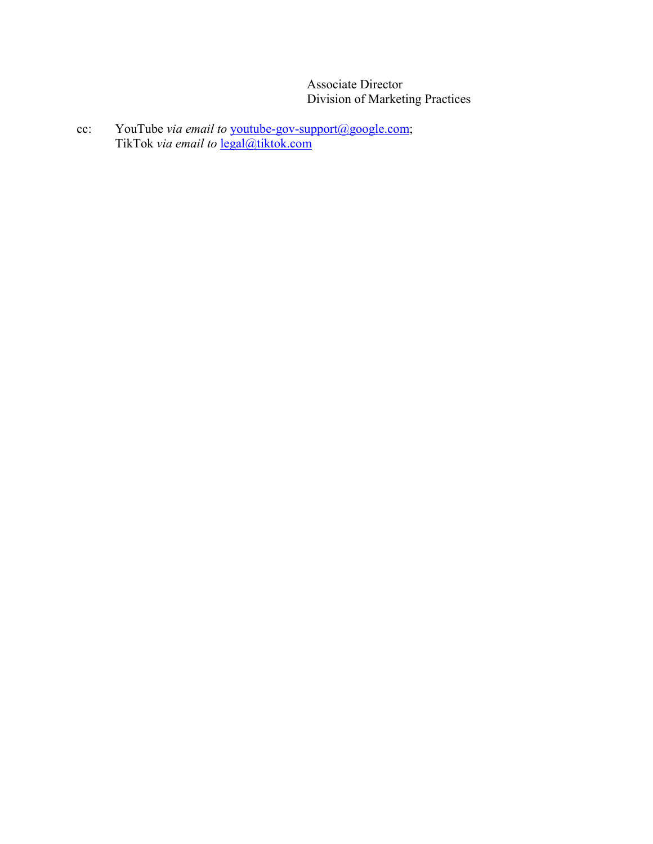Associate Director Division of Marketing Practices

cc: YouTube *via email to* [youtube-gov-support@google.com;](mailto:youtube-gov-support@google.com) TikTok *via email to* [legal@tiktok.com](mailto:legal@tiktok.com)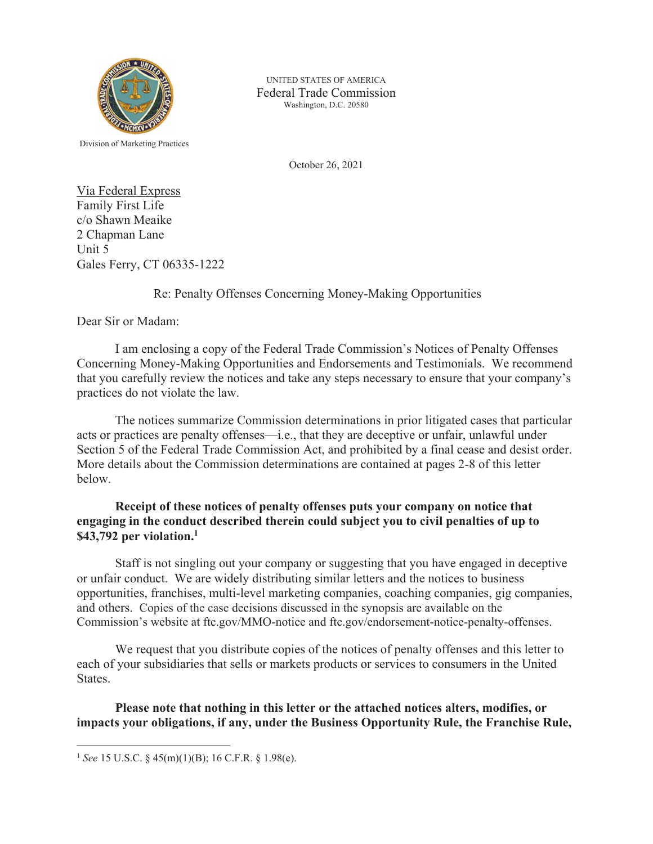

UNITED STATES OF AMERICA Federal Trade Commission Washington, D.C. 20580

Division of Marketing Practices

October 26, 2021

Via Federal Express Family First Life c/o Shawn Meaike 2 Chapman Lane Unit 5 Gales Ferry, CT 06335-1222

#### Re: Penalty Offenses Concerning Money-Making Opportunities

Dear Sir or Madam:

 I am enclosing a copy of the Federal Trade Commission's Notices of Penalty Offenses Concerning Money-Making Opportunities and Endorsements and Testimonials. We recommend that you carefully review the notices and take any steps necessary to ensure that your company's practices do not violate the law.

The notices summarize Commission determinations in prior litigated cases that particular acts or practices are penalty offenses—i.e., that they are deceptive or unfair, unlawful under Section 5 of the Federal Trade Commission Act, and prohibited by a final cease and desist order. More details about the Commission determinations are contained at pages 2-8 of this letter below.

### **Receipt of these notices of penalty offenses puts your company on notice that engaging in the conduct described therein could subject you to civil penalties of up to \$43,792 per violation.1**

Staff is not singling out your company or suggesting that you have engaged in deceptive or unfair conduct. We are widely distributing similar letters and the notices to business opportunities, franchises, multi-level marketing companies, coaching companies, gig companies, and others. Copies of the case decisions discussed in the synopsis are available on the Commission's website at ftc.gov/MMO-notice and ftc.gov/endorsement-notice-penalty-offenses.

We request that you distribute copies of the notices of penalty offenses and this letter to each of your subsidiaries that sells or markets products or services to consumers in the United States.

**Please note that nothing in this letter or the attached notices alters, modifies, or impacts your obligations, if any, under the Business Opportunity Rule, the Franchise Rule,** 

 $\overline{a}$ 

<sup>1</sup> *See* 15 U.S.C. § 45(m)(1)(B); 16 C.F.R. § 1.98(e).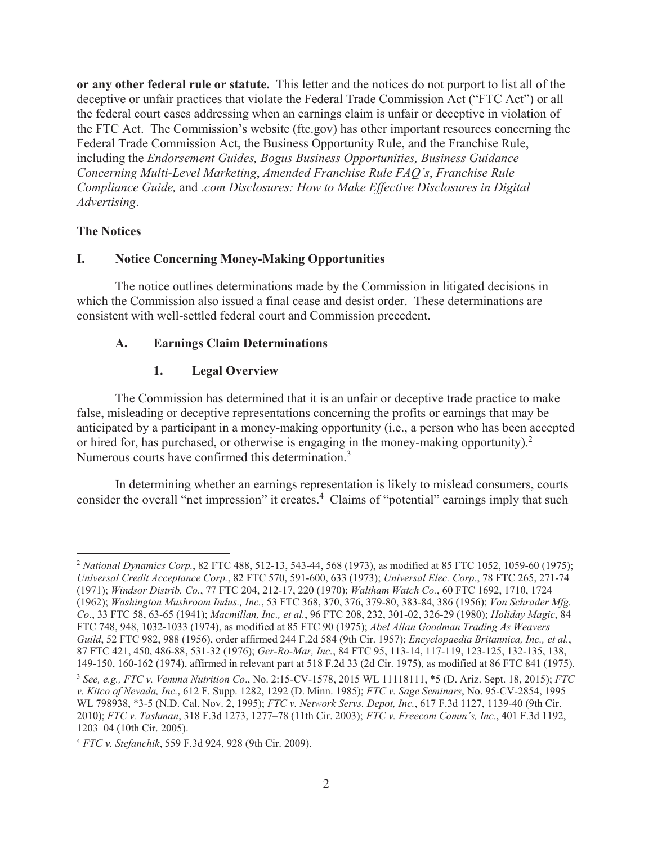**or any other federal rule or statute.** This letter and the notices do not purport to list all of the deceptive or unfair practices that violate the Federal Trade Commission Act ("FTC Act") or all the federal court cases addressing when an earnings claim is unfair or deceptive in violation of the FTC Act.The Commission's website (ftc.gov) has other important resources concerning the Federal Trade Commission Act, the Business Opportunity Rule, and the Franchise Rule, including the *Endorsement Guides, Bogus Business Opportunities, Business Guidance Concerning Multi-Level Marketing*, *Amended Franchise Rule FAQ's*, *Franchise Rule Compliance Guide,* and *.com Disclosures: How to Make Effective Disclosures in Digital Advertising*.

### **The Notices**

 $\overline{a}$ 

### **I. Notice Concerning Money-Making Opportunities**

 The notice outlines determinations made by the Commission in litigated decisions in which the Commission also issued a final cease and desist order. These determinations are consistent with well-settled federal court and Commission precedent.

### **A. Earnings Claim Determinations**

#### **1. Legal Overview**

The Commission has determined that it is an unfair or deceptive trade practice to make false, misleading or deceptive representations concerning the profits or earnings that may be anticipated by a participant in a money-making opportunity (i.e., a person who has been accepted or hired for, has purchased, or otherwise is engaging in the money-making opportunity). $2$ Numerous courts have confirmed this determination.<sup>3</sup>

In determining whether an earnings representation is likely to mislead consumers, courts consider the overall "net impression" it creates.<sup>4</sup> Claims of "potential" earnings imply that such

<sup>2</sup> *National Dynamics Corp.*, 82 FTC 488, 512-13, 543-44, 568 (1973), as modified at 85 FTC 1052, 1059-60 (1975); *Universal Credit Acceptance Corp.*, 82 FTC 570, 591-600, 633 (1973); *Universal Elec. Corp.*, 78 FTC 265, 271-74 (1971); *Windsor Distrib. Co.*, 77 FTC 204, 212-17, 220 (1970); *Waltham Watch Co.*, 60 FTC 1692, 1710, 1724 (1962); *Washington Mushroom Indus., Inc.*, 53 FTC 368, 370, 376, 379-80, 383-84, 386 (1956); *Von Schrader Mfg. Co.*, 33 FTC 58, 63-65 (1941); *Macmillan, Inc., et al.*, 96 FTC 208, 232, 301-02, 326-29 (1980); *Holiday Magic*, 84 FTC 748, 948, 1032-1033 (1974), as modified at 85 FTC 90 (1975); *Abel Allan Goodman Trading As Weavers Guild*, 52 FTC 982, 988 (1956), order affirmed 244 F.2d 584 (9th Cir. 1957); *Encyclopaedia Britannica, Inc., et al.*, 87 FTC 421, 450, 486-88, 531-32 (1976); *Ger-Ro-Mar, Inc.*, 84 FTC 95, 113-14, 117-119, 123-125, 132-135, 138, 149-150, 160-162 (1974), affirmed in relevant part at 518 F.2d 33 (2d Cir. 1975), as modified at 86 FTC 841 (1975). <sup>3</sup> *See, e.g., FTC v. Vemma Nutrition Co*., No. 2:15-CV-1578, 2015 WL 11118111, \*5 (D. Ariz. Sept. 18, 2015); *FTC v. Kitco of Nevada, Inc.*, 612 F. Supp. 1282, 1292 (D. Minn. 1985); *FTC v. Sage Seminars*, No. 95-CV-2854, 1995 WL 798938, \*3-5 (N.D. Cal. Nov. 2, 1995); *FTC v. Network Servs. Depot, Inc.*, 617 F.3d 1127, 1139-40 (9th Cir. 2010); *FTC v. Tashman*, 318 F.3d 1273, 1277–78 (11th Cir. 2003); *FTC v. Freecom Comm's, Inc*., 401 F.3d 1192, 1203–04 (10th Cir. 2005).

<sup>4</sup> *FTC v. Stefanchik*, 559 F.3d 924, 928 (9th Cir. 2009).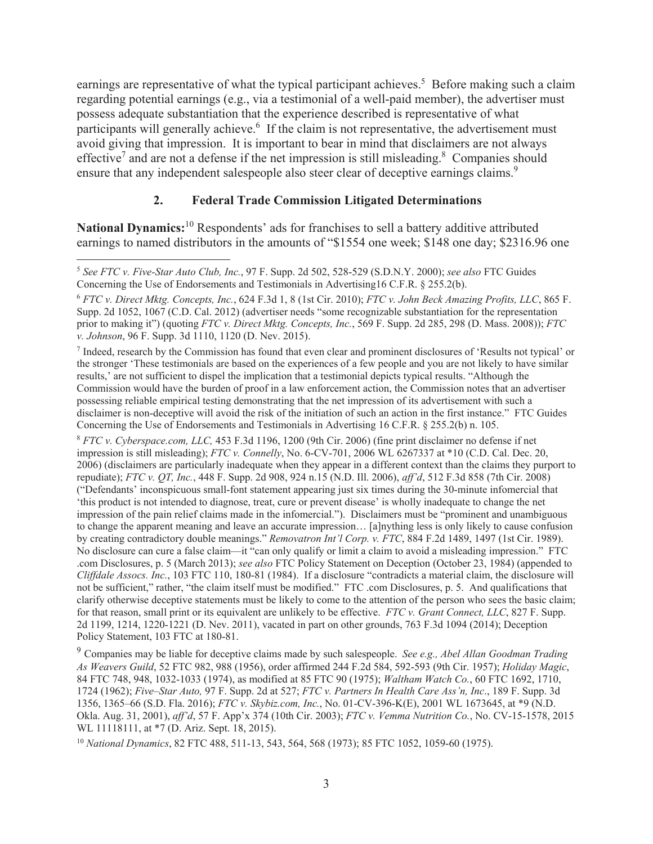earnings are representative of what the typical participant achieves.<sup>5</sup> Before making such a claim regarding potential earnings (e.g., via a testimonial of a well-paid member), the advertiser must possess adequate substantiation that the experience described is representative of what participants will generally achieve.<sup>6</sup> If the claim is not representative, the advertisement must avoid giving that impression. It is important to bear in mind that disclaimers are not always effective<sup>7</sup> and are not a defense if the net impression is still misleading.<sup>8</sup> Companies should ensure that any independent salespeople also steer clear of deceptive earnings claims.<sup>9</sup>

# **2. Federal Trade Commission Litigated Determinations**

**National Dynamics:**<sup>10</sup> Respondents' ads for franchises to sell a battery additive attributed earnings to named distributors in the amounts of "\$1554 one week; \$148 one day; \$2316.96 one

<sup>7</sup> Indeed, research by the Commission has found that even clear and prominent disclosures of 'Results not typical' or the stronger 'These testimonials are based on the experiences of a few people and you are not likely to have similar results,' are not sufficient to dispel the implication that a testimonial depicts typical results. "Although the Commission would have the burden of proof in a law enforcement action, the Commission notes that an advertiser possessing reliable empirical testing demonstrating that the net impression of its advertisement with such a disclaimer is non-deceptive will avoid the risk of the initiation of such an action in the first instance." FTC Guides Concerning the Use of Endorsements and Testimonials in Advertising 16 C.F.R. § 255.2(b) n. 105.

<sup>8</sup> *FTC v. Cyberspace.com, LLC,* 453 F.3d 1196, 1200 (9th Cir. 2006) (fine print disclaimer no defense if net impression is still misleading); *FTC v. Connelly*, No. 6-CV-701, 2006 WL 6267337 at \*10 (C.D. Cal. Dec. 20, 2006) (disclaimers are particularly inadequate when they appear in a different context than the claims they purport to repudiate); *FTC v. QT, Inc.*, 448 F. Supp. 2d 908, 924 n.15 (N.D. Ill. 2006), *aff'd*, 512 F.3d 858 (7th Cir. 2008) ("Defendants' inconspicuous small-font statement appearing just six times during the 30-minute infomercial that 'this product is not intended to diagnose, treat, cure or prevent disease' is wholly inadequate to change the net impression of the pain relief claims made in the infomercial."). Disclaimers must be "prominent and unambiguous to change the apparent meaning and leave an accurate impression… [a]nything less is only likely to cause confusion by creating contradictory double meanings." *Removatron Int'l Corp. v. FTC*, 884 F.2d 1489, 1497 (1st Cir. 1989). No disclosure can cure a false claim—it "can only qualify or limit a claim to avoid a misleading impression." FTC .com Disclosures, p. 5 (March 2013); *see also* FTC Policy Statement on Deception (October 23, 1984) (appended to *Cliffdale Assocs. Inc.*, 103 FTC 110, 180-81 (1984). If a disclosure "contradicts a material claim, the disclosure will not be sufficient," rather, "the claim itself must be modified." FTC .com Disclosures, p. 5. And qualifications that clarify otherwise deceptive statements must be likely to come to the attention of the person who sees the basic claim; for that reason, small print or its equivalent are unlikely to be effective. *FTC v. Grant Connect, LLC*, 827 F. Supp. 2d 1199, 1214, 1220-1221 (D. Nev. 2011), vacated in part on other grounds, 763 F.3d 1094 (2014); Deception Policy Statement, 103 FTC at 180-81.

<sup>9</sup> Companies may be liable for deceptive claims made by such salespeople. *See e.g., Abel Allan Goodman Trading As Weavers Guild*, 52 FTC 982, 988 (1956), order affirmed 244 F.2d 584, 592-593 (9th Cir. 1957); *Holiday Magic*, 84 FTC 748, 948, 1032-1033 (1974), as modified at 85 FTC 90 (1975); *Waltham Watch Co.*, 60 FTC 1692, 1710, 1724 (1962); *Five–Star Auto,* 97 F. Supp. 2d at 527; *FTC v. Partners In Health Care Ass'n, Inc*., 189 F. Supp. 3d 1356, 1365–66 (S.D. Fla. 2016); *FTC v. Skybiz.com, Inc.*, No. 01-CV-396-K(E), 2001 WL 1673645, at \*9 (N.D. Okla. Aug. 31, 2001), *aff'd*, 57 F. App'x 374 (10th Cir. 2003); *FTC v. Vemma Nutrition Co.*, No. CV-15-1578, 2015 WL 11118111, at \*7 (D. Ariz. Sept. 18, 2015).

<sup>10</sup> *National Dynamics*, 82 FTC 488, 511-13, 543, 564, 568 (1973); 85 FTC 1052, 1059-60 (1975).

 $\overline{a}$ <sup>5</sup> *See FTC v. Five-Star Auto Club, Inc.*, 97 F. Supp. 2d 502, 528-529 (S.D.N.Y. 2000); *see also* FTC Guides Concerning the Use of Endorsements and Testimonials in Advertising16 C.F.R. § 255.2(b).

<sup>6</sup> *FTC v. Direct Mktg. Concepts, Inc.*, 624 F.3d 1, 8 (1st Cir. 2010); *FTC v. John Beck Amazing Profits, LLC*, 865 F. Supp. 2d 1052, 1067 (C.D. Cal. 2012) (advertiser needs "some recognizable substantiation for the representation prior to making it") (quoting *FTC v. Direct Mktg. Concepts, Inc.*, 569 F. Supp. 2d 285, 298 (D. Mass. 2008)); *FTC v. Johnson*, 96 F. Supp. 3d 1110, 1120 (D. Nev. 2015).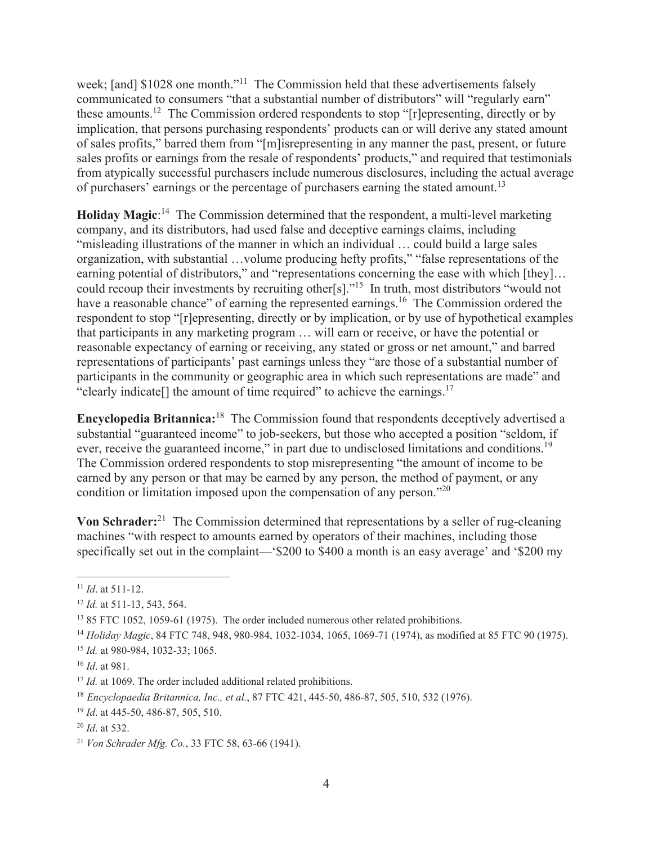week; [and] \$1028 one month."<sup>11</sup> The Commission held that these advertisements falsely communicated to consumers "that a substantial number of distributors" will "regularly earn" these amounts.12 The Commission ordered respondents to stop "[r]epresenting, directly or by implication, that persons purchasing respondents' products can or will derive any stated amount of sales profits," barred them from "[m]isrepresenting in any manner the past, present, or future sales profits or earnings from the resale of respondents' products," and required that testimonials from atypically successful purchasers include numerous disclosures, including the actual average of purchasers' earnings or the percentage of purchasers earning the stated amount.<sup>13</sup>

Holiday Magic:<sup>14</sup> The Commission determined that the respondent, a multi-level marketing company, and its distributors, had used false and deceptive earnings claims, including "misleading illustrations of the manner in which an individual … could build a large sales organization, with substantial …volume producing hefty profits," "false representations of the earning potential of distributors," and "representations concerning the ease with which [they]... could recoup their investments by recruiting other[s]."15 In truth, most distributors "would not have a reasonable chance" of earning the represented earnings.<sup>16</sup> The Commission ordered the respondent to stop "[r]epresenting, directly or by implication, or by use of hypothetical examples that participants in any marketing program … will earn or receive, or have the potential or reasonable expectancy of earning or receiving, any stated or gross or net amount," and barred representations of participants' past earnings unless they "are those of a substantial number of participants in the community or geographic area in which such representations are made" and "clearly indicate<sup>[]</sup> the amount of time required" to achieve the earnings.<sup>17</sup>

**Encyclopedia Britannica:**18 The Commission found that respondents deceptively advertised a substantial "guaranteed income" to job-seekers, but those who accepted a position "seldom, if ever, receive the guaranteed income," in part due to undisclosed limitations and conditions.<sup>19</sup> The Commission ordered respondents to stop misrepresenting "the amount of income to be earned by any person or that may be earned by any person, the method of payment, or any condition or limitation imposed upon the compensation of any person."20

**Von Schrader:**<sup>21</sup>The Commission determined that representations by a seller of rug-cleaning machines "with respect to amounts earned by operators of their machines, including those specifically set out in the complaint—'\$200 to \$400 a month is an easy average' and '\$200 my

 $\overline{a}$ 

<sup>11</sup> *Id*. at 511-12.

<sup>12</sup> *Id.* at 511-13, 543, 564.

<sup>&</sup>lt;sup>13</sup> 85 FTC 1052, 1059-61 (1975). The order included numerous other related prohibitions.

<sup>14</sup> *Holiday Magic*, 84 FTC 748, 948, 980-984, 1032-1034, 1065, 1069-71 (1974), as modified at 85 FTC 90 (1975).

<sup>15</sup> *Id.* at 980-984, 1032-33; 1065.

<sup>16</sup> *Id*. at 981.

<sup>&</sup>lt;sup>17</sup> *Id.* at 1069. The order included additional related prohibitions.

<sup>18</sup> *Encyclopaedia Britannica, Inc., et al.*, 87 FTC 421, 445-50, 486-87, 505, 510, 532 (1976).

<sup>19</sup> *Id*. at 445-50, 486-87, 505, 510.

<sup>20</sup> *Id*. at 532.

<sup>21</sup> *Von Schrader Mfg. Co.*, 33 FTC 58, 63-66 (1941).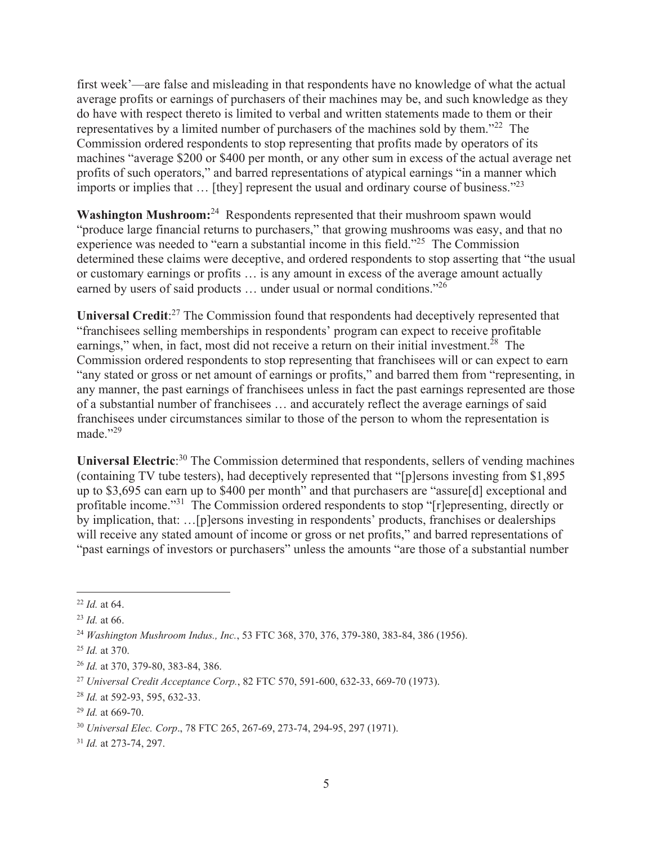first week'—are false and misleading in that respondents have no knowledge of what the actual average profits or earnings of purchasers of their machines may be, and such knowledge as they do have with respect thereto is limited to verbal and written statements made to them or their representatives by a limited number of purchasers of the machines sold by them."22 The Commission ordered respondents to stop representing that profits made by operators of its machines "average \$200 or \$400 per month, or any other sum in excess of the actual average net profits of such operators," and barred representations of atypical earnings "in a manner which imports or implies that  $\ldots$  [they] represent the usual and ordinary course of business."<sup>23</sup>

**Washington Mushroom:**<sup>24</sup> Respondents represented that their mushroom spawn would "produce large financial returns to purchasers," that growing mushrooms was easy, and that no experience was needed to "earn a substantial income in this field."25 The Commission determined these claims were deceptive, and ordered respondents to stop asserting that "the usual or customary earnings or profits … is any amount in excess of the average amount actually earned by users of said products ... under usual or normal conditions."<sup>26</sup>

Universal Credit:<sup>27</sup> The Commission found that respondents had deceptively represented that "franchisees selling memberships in respondents' program can expect to receive profitable earnings," when, in fact, most did not receive a return on their initial investment.<sup>28</sup> The Commission ordered respondents to stop representing that franchisees will or can expect to earn "any stated or gross or net amount of earnings or profits," and barred them from "representing, in any manner, the past earnings of franchisees unless in fact the past earnings represented are those of a substantial number of franchisees … and accurately reflect the average earnings of said franchisees under circumstances similar to those of the person to whom the representation is made."29

Universal Electric<sup>30</sup> The Commission determined that respondents, sellers of vending machines (containing TV tube testers), had deceptively represented that "[p]ersons investing from \$1,895 up to \$3,695 can earn up to \$400 per month" and that purchasers are "assure[d] exceptional and profitable income."<sup>31</sup> The Commission ordered respondents to stop "[r]epresenting, directly or by implication, that: …[p]ersons investing in respondents' products, franchises or dealerships will receive any stated amount of income or gross or net profits," and barred representations of "past earnings of investors or purchasers" unless the amounts "are those of a substantial number

 $\overline{a}$ <sup>22</sup> *Id.* at 64.

<sup>23</sup> *Id.* at 66.

<sup>24</sup> *Washington Mushroom Indus., Inc.*, 53 FTC 368, 370, 376, 379-380, 383-84, 386 (1956).

<sup>25</sup> *Id.* at 370.

<sup>26</sup> *Id.* at 370, 379-80, 383-84, 386.

<sup>27</sup> *Universal Credit Acceptance Corp.*, 82 FTC 570, 591-600, 632-33, 669-70 (1973).

<sup>28</sup> *Id.* at 592-93, 595, 632-33.

<sup>29</sup> *Id.* at 669-70.

<sup>30</sup> *Universal Elec. Corp*., 78 FTC 265, 267-69, 273-74, 294-95, 297 (1971).

<sup>31</sup> *Id.* at 273-74, 297.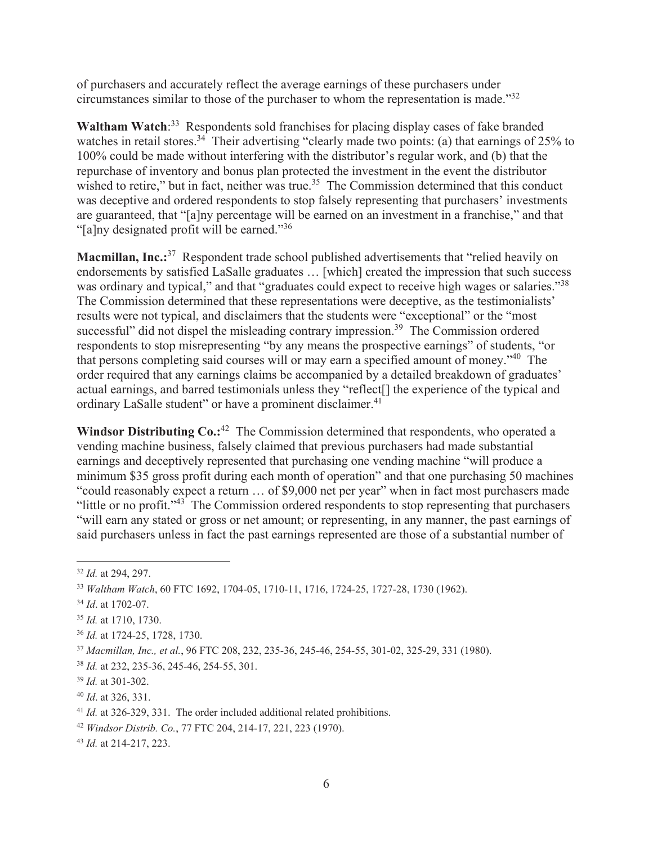of purchasers and accurately reflect the average earnings of these purchasers under circumstances similar to those of the purchaser to whom the representation is made."32

Waltham Watch<sup>33</sup> Respondents sold franchises for placing display cases of fake branded watches in retail stores.<sup>34</sup> Their advertising "clearly made two points: (a) that earnings of 25% to 100% could be made without interfering with the distributor's regular work, and (b) that the repurchase of inventory and bonus plan protected the investment in the event the distributor wished to retire," but in fact, neither was true.<sup>35</sup> The Commission determined that this conduct was deceptive and ordered respondents to stop falsely representing that purchasers' investments are guaranteed, that "[a]ny percentage will be earned on an investment in a franchise," and that "[a]ny designated profit will be earned."36

**Macmillan, Inc.:**<sup>37</sup> Respondent trade school published advertisements that "relied heavily on endorsements by satisfied LaSalle graduates … [which] created the impression that such success was ordinary and typical," and that "graduates could expect to receive high wages or salaries."<sup>38</sup> The Commission determined that these representations were deceptive, as the testimonialists' results were not typical, and disclaimers that the students were "exceptional" or the "most successful" did not dispel the misleading contrary impression.<sup>39</sup> The Commission ordered respondents to stop misrepresenting "by any means the prospective earnings" of students, "or that persons completing said courses will or may earn a specified amount of money."40 The order required that any earnings claims be accompanied by a detailed breakdown of graduates' actual earnings, and barred testimonials unless they "reflect[] the experience of the typical and ordinary LaSalle student" or have a prominent disclaimer.<sup>41</sup>

**Windsor Distributing Co.:**<sup>42</sup>The Commission determined that respondents, who operated a vending machine business, falsely claimed that previous purchasers had made substantial earnings and deceptively represented that purchasing one vending machine "will produce a minimum \$35 gross profit during each month of operation" and that one purchasing 50 machines "could reasonably expect a return … of \$9,000 net per year" when in fact most purchasers made "little or no profit."43 The Commission ordered respondents to stop representing that purchasers "will earn any stated or gross or net amount; or representing, in any manner, the past earnings of said purchasers unless in fact the past earnings represented are those of a substantial number of

 $\overline{a}$ 

<sup>36</sup> *Id.* at 1724-25, 1728, 1730.

<sup>32</sup> *Id.* at 294, 297.

<sup>33</sup> *Waltham Watch*, 60 FTC 1692, 1704-05, 1710-11, 1716, 1724-25, 1727-28, 1730 (1962).

<sup>34</sup> *Id*. at 1702-07.

<sup>35</sup> *Id.* at 1710, 1730.

<sup>37</sup> *Macmillan, Inc., et al.*, 96 FTC 208, 232, 235-36, 245-46, 254-55, 301-02, 325-29, 331 (1980).

<sup>38</sup> *Id.* at 232, 235-36, 245-46, 254-55, 301.

<sup>39</sup> *Id.* at 301-302.

<sup>40</sup> *Id*. at 326, 331.

<sup>41</sup> *Id.* at 326-329, 331. The order included additional related prohibitions.

<sup>42</sup> *Windsor Distrib. Co.*, 77 FTC 204, 214-17, 221, 223 (1970).

<sup>43</sup> *Id.* at 214-217, 223.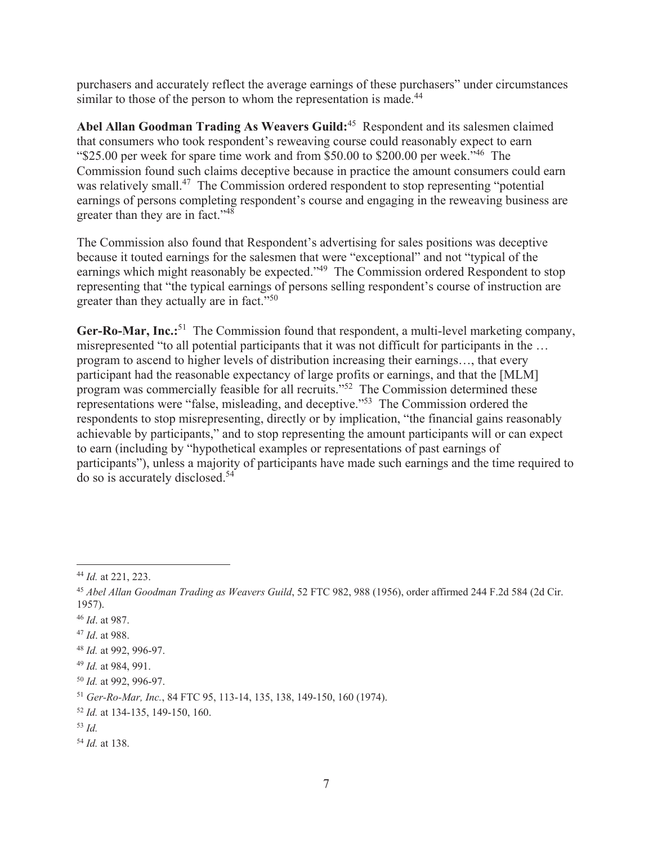purchasers and accurately reflect the average earnings of these purchasers" under circumstances similar to those of the person to whom the representation is made.<sup>44</sup>

**Abel Allan Goodman Trading As Weavers Guild:**45 Respondent and its salesmen claimed that consumers who took respondent's reweaving course could reasonably expect to earn "\$25.00 per week for spare time work and from \$50.00 to \$200.00 per week."46 The Commission found such claims deceptive because in practice the amount consumers could earn was relatively small.<sup>47</sup> The Commission ordered respondent to stop representing "potential earnings of persons completing respondent's course and engaging in the reweaving business are greater than they are in fact."48

The Commission also found that Respondent's advertising for sales positions was deceptive because it touted earnings for the salesmen that were "exceptional" and not "typical of the earnings which might reasonably be expected."<sup>49</sup> The Commission ordered Respondent to stop representing that "the typical earnings of persons selling respondent's course of instruction are greater than they actually are in fact."<sup>50</sup>

Ger-Ro-Mar, Inc.:<sup>51</sup> The Commission found that respondent, a multi-level marketing company, misrepresented "to all potential participants that it was not difficult for participants in the … program to ascend to higher levels of distribution increasing their earnings…, that every participant had the reasonable expectancy of large profits or earnings, and that the [MLM] program was commercially feasible for all recruits."<sup>52</sup> The Commission determined these representations were "false, misleading, and deceptive."53 The Commission ordered the respondents to stop misrepresenting, directly or by implication, "the financial gains reasonably achievable by participants," and to stop representing the amount participants will or can expect to earn (including by "hypothetical examples or representations of past earnings of participants"), unless a majority of participants have made such earnings and the time required to do so is accurately disclosed.54

<sup>46</sup> *Id*. at 987.

 $\overline{a}$ <sup>44</sup> *Id.* at 221, 223.

<sup>45</sup> *Abel Allan Goodman Trading as Weavers Guild*, 52 FTC 982, 988 (1956), order affirmed 244 F.2d 584 (2d Cir. 1957).

<sup>47</sup> *Id*. at 988.

<sup>48</sup> *Id.* at 992, 996-97.

<sup>49</sup> *Id.* at 984, 991.

<sup>50</sup> *Id.* at 992, 996-97.

<sup>51</sup> *Ger-Ro-Mar, Inc.*, 84 FTC 95, 113-14, 135, 138, 149-150, 160 (1974).

<sup>52</sup> *Id.* at 134-135, 149-150, 160.

<sup>53</sup> *Id.* 

<sup>54</sup> *Id.* at 138.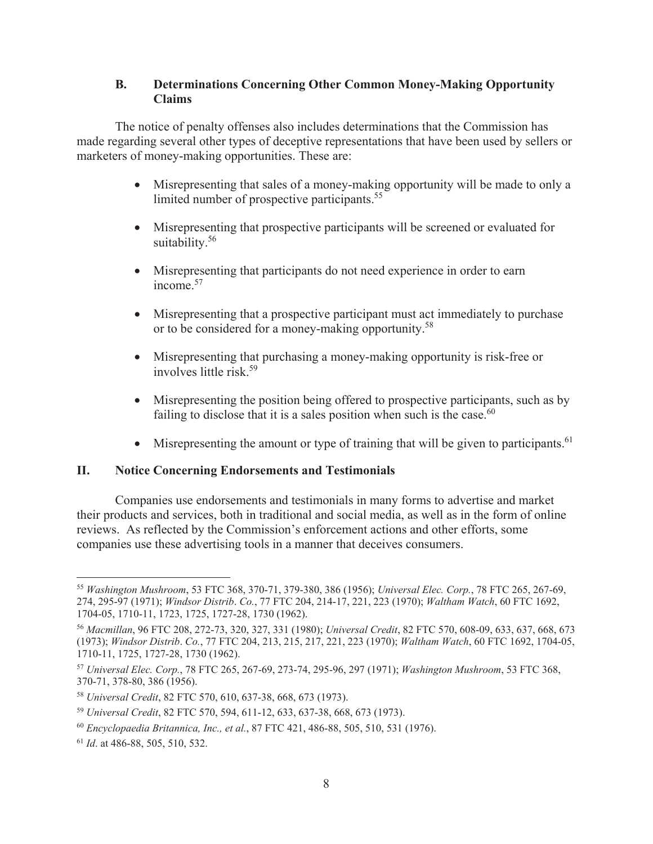# **B. Determinations Concerning Other Common Money-Making Opportunity Claims**

The notice of penalty offenses also includes determinations that the Commission has made regarding several other types of deceptive representations that have been used by sellers or marketers of money-making opportunities. These are:

- Misrepresenting that sales of a money-making opportunity will be made to only a limited number of prospective participants.<sup>55</sup>
- Misrepresenting that prospective participants will be screened or evaluated for suitability.<sup>56</sup>
- Misrepresenting that participants do not need experience in order to earn  $income$ <sup>57</sup>
- Misrepresenting that a prospective participant must act immediately to purchase or to be considered for a money-making opportunity.<sup>58</sup>
- Misrepresenting that purchasing a money-making opportunity is risk-free or involves little risk.59
- $\bullet$  Misrepresenting the position being offered to prospective participants, such as by failing to disclose that it is a sales position when such is the case. $60$
- $\bullet$  Misrepresenting the amount or type of training that will be given to participants.<sup>61</sup>

# **II. Notice Concerning Endorsements and Testimonials**

Companies use endorsements and testimonials in many forms to advertise and market their products and services, both in traditional and social media, as well as in the form of online reviews. As reflected by the Commission's enforcement actions and other efforts, some companies use these advertising tools in a manner that deceives consumers.

 $\overline{a}$ <sup>55</sup> *Washington Mushroom*, 53 FTC 368, 370-71, 379-380, 386 (1956); *Universal Elec. Corp.*, 78 FTC 265, 267-69, 274, 295-97 (1971); *Windsor Distrib*. *Co.*, 77 FTC 204, 214-17, 221, 223 (1970); *Waltham Watch*, 60 FTC 1692, 1704-05, 1710-11, 1723, 1725, 1727-28, 1730 (1962).

<sup>56</sup> *Macmillan*, 96 FTC 208, 272-73, 320, 327, 331 (1980); *Universal Credit*, 82 FTC 570, 608-09, 633, 637, 668, 673 (1973); *Windsor Distrib*. *Co.*, 77 FTC 204, 213, 215, 217, 221, 223 (1970); *Waltham Watch*, 60 FTC 1692, 1704-05, 1710-11, 1725, 1727-28, 1730 (1962).

<sup>57</sup> *Universal Elec. Corp.*, 78 FTC 265, 267-69, 273-74, 295-96, 297 (1971); *Washington Mushroom*, 53 FTC 368, 370-71, 378-80, 386 (1956).

<sup>58</sup> *Universal Credit*, 82 FTC 570, 610, 637-38, 668, 673 (1973).

<sup>59</sup> *Universal Credit*, 82 FTC 570, 594, 611-12, 633, 637-38, 668, 673 (1973).

<sup>60</sup> *Encyclopaedia Britannica, Inc., et al.*, 87 FTC 421, 486-88, 505, 510, 531 (1976).

<sup>61</sup> *Id*. at 486-88, 505, 510, 532.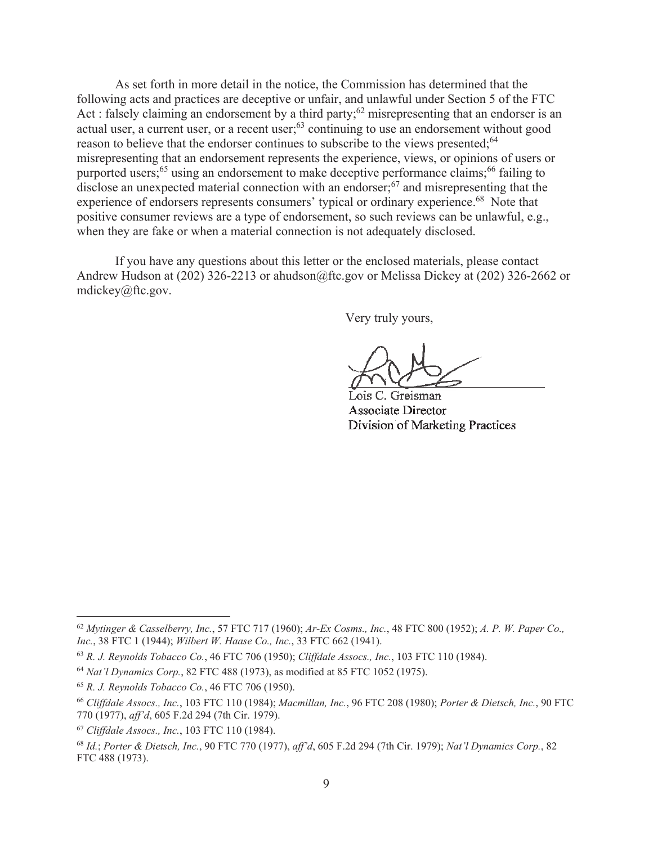As set forth in more detail in the notice, the Commission has determined that the following acts and practices are deceptive or unfair, and unlawful under Section 5 of the FTC Act : falsely claiming an endorsement by a third party;<sup>62</sup> misrepresenting that an endorser is an actual user, a current user, or a recent user;<sup>63</sup> continuing to use an endorsement without good reason to believe that the endorser continues to subscribe to the views presented;<sup>64</sup> misrepresenting that an endorsement represents the experience, views, or opinions of users or purported users;<sup>65</sup> using an endorsement to make deceptive performance claims;<sup>66</sup> failing to disclose an unexpected material connection with an endorser; $67$  and misrepresenting that the experience of endorsers represents consumers' typical or ordinary experience.<sup>68</sup> Note that positive consumer reviews are a type of endorsement, so such reviews can be unlawful, e.g., when they are fake or when a material connection is not adequately disclosed.

If you have any questions about this letter or the enclosed materials, please contact Andrew Hudson at (202) 326-2213 or ahudson@ftc.gov or Melissa Dickey at (202) 326-2662 or mdickey@ftc.gov.

Very truly yours,

Lois C. Greisman **Associate Director** Division of Marketing Practices

 $\overline{a}$ 

<sup>62</sup> *Mytinger & Casselberry, Inc.*, 57 FTC 717 (1960); *Ar-Ex Cosms., Inc.*, 48 FTC 800 (1952); *A. P. W. Paper Co., Inc.*, 38 FTC 1 (1944); *Wilbert W. Haase Co., Inc.*, 33 FTC 662 (1941).

<sup>63</sup> *R. J. Reynolds Tobacco Co.*, 46 FTC 706 (1950); *Cliffdale Assocs., Inc.*, 103 FTC 110 (1984).

<sup>64</sup> *Nat'l Dynamics Corp.*, 82 FTC 488 (1973), as modified at 85 FTC 1052 (1975).

<sup>65</sup> *R. J. Reynolds Tobacco Co.*, 46 FTC 706 (1950).

<sup>66</sup> *Cliffdale Assocs., Inc.*, 103 FTC 110 (1984); *Macmillan, Inc.*, 96 FTC 208 (1980); *Porter & Dietsch, Inc.*, 90 FTC 770 (1977), *aff'd*, 605 F.2d 294 (7th Cir. 1979).

<sup>67</sup> *Cliffdale Assocs., Inc.*, 103 FTC 110 (1984).

<sup>68</sup> *Id.*; *Porter & Dietsch, Inc.*, 90 FTC 770 (1977), *aff'd*, 605 F.2d 294 (7th Cir. 1979); *Nat'l Dynamics Corp.*, 82 FTC 488 (1973).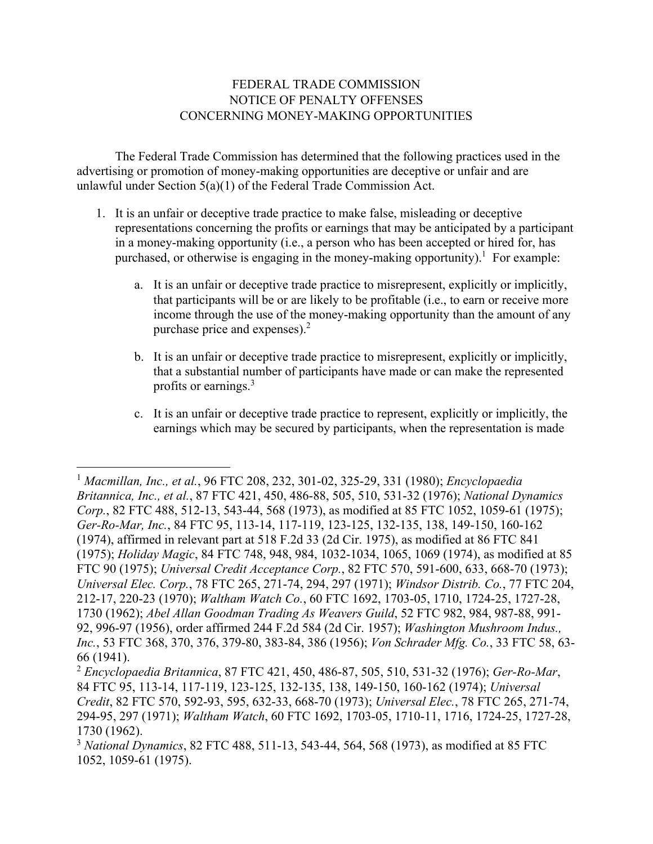# FEDERAL TRADE COMMISSION NOTICE OF PENALTY OFFENSES CONCERNING MONEY-MAKING OPPORTUNITIES

The Federal Trade Commission has determined that the following practices used in the advertising or promotion of money-making opportunities are deceptive or unfair and are unlawful under Section 5(a)(1) of the Federal Trade Commission Act.

- 1. It is an unfair or deceptive trade practice to make false, misleading or deceptive representations concerning the profits or earnings that may be anticipated by a participant in a money-making opportunity (i.e., a person who has been accepted or hired for, has purchased, or otherwise is engaging in the money-making opportunity).<sup>1</sup> For example:
	- purchase price and expenses). $<sup>2</sup>$ </sup> a. It is an unfair or deceptive trade practice to misrepresent, explicitly or implicitly, that participants will be or are likely to be profitable (i.e., to earn or receive more income through the use of the money-making opportunity than the amount of any
	- profits or earnings.<sup>3</sup> b. It is an unfair or deceptive trade practice to misrepresent, explicitly or implicitly, that a substantial number of participants have made or can make the represented
	- c. It is an unfair or deceptive trade practice to represent, explicitly or implicitly, the earnings which may be secured by participants, when the representation is made

<sup>1</sup>*Macmillan, Inc., et al.*, 96 FTC 208, 232, 301-02, 325-29, 331 (1980); *Encyclopaedia Britannica, Inc., et al.*, 87 FTC 421, 450, 486-88, 505, 510, 531-32 (1976); *National Dynamics Corp.*, 82 FTC 488, 512-13, 543-44, 568 (1973), as modified at 85 FTC 1052, 1059-61 (1975); *Ger-Ro-Mar, Inc.*, 84 FTC 95, 113-14, 117-119, 123-125, 132-135, 138, 149-150, 160-162 (1974), affirmed in relevant part at 518 F.2d 33 (2d Cir. 1975), as modified at 86 FTC 841 (1975); *Holiday Magic*, 84 FTC 748, 948, 984, 1032-1034, 1065, 1069 (1974), as modified at 85 FTC 90 (1975); *Universal Credit Acceptance Corp.*, 82 FTC 570, 591-600, 633, 668-70 (1973); *Universal Elec. Corp.*, 78 FTC 265, 271-74, 294, 297 (1971); *Windsor Distrib. Co.*, 77 FTC 204, 212-17, 220-23 (1970); *Waltham Watch Co.*, 60 FTC 1692, 1703-05, 1710, 1724-25, 1727-28, 1730 (1962); *Abel Allan Goodman Trading As Weavers Guild*, 52 FTC 982, 984, 987-88, 991- 92, 996-97 (1956), order affirmed 244 F.2d 584 (2d Cir. 1957); *Washington Mushroom Indus., Inc.*, 53 FTC 368, 370, 376, 379-80, 383-84, 386 (1956); *Von Schrader Mfg. Co.*, 33 FTC 58, 63- 66 (1941).

<sup>2</sup>*Encyclopaedia Britannica*, 87 FTC 421, 450, 486-87, 505, 510, 531-32 (1976); *Ger-Ro-Mar*, 84 FTC 95, 113-14, 117-119, 123-125, 132-135, 138, 149-150, 160-162 (1974); *Universal Credit*, 82 FTC 570, 592-93, 595, 632-33, 668-70 (1973); *Universal Elec.*, 78 FTC 265, 271-74, 294-95, 297 (1971); *Waltham Watch*, 60 FTC 1692, 1703-05, 1710-11, 1716, 1724-25, 1727-28, 1730 (1962).

<sup>3</sup>*National Dynamics*, 82 FTC 488, 511-13, 543-44, 564, 568 (1973), as modified at 85 FTC 1052, 1059-61 (1975).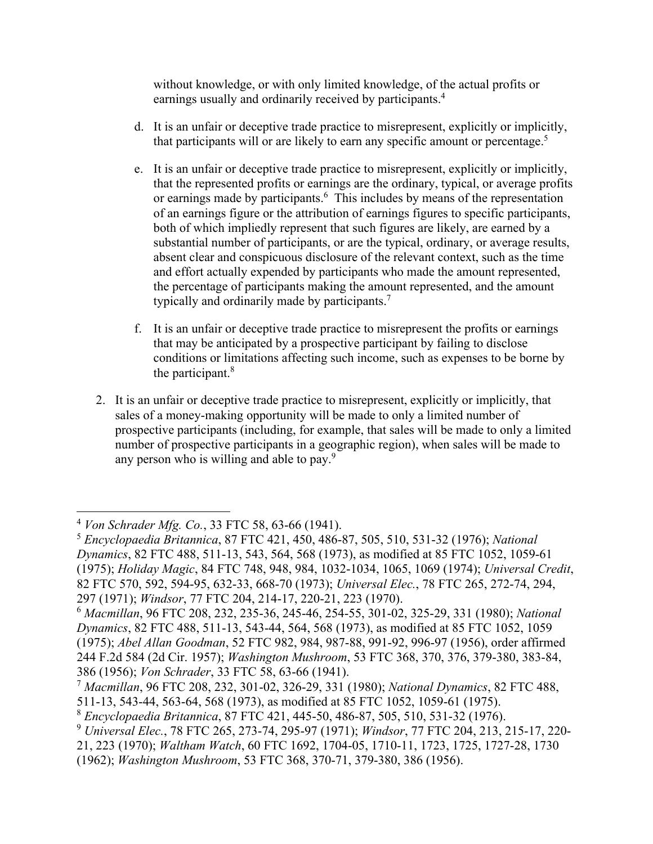earnings usually and ordinarily received by participants.<sup>4</sup> without knowledge, or with only limited knowledge, of the actual profits or

- that participants will or are likely to earn any specific amount or percentage.<sup>5</sup> d. It is an unfair or deceptive trade practice to misrepresent, explicitly or implicitly,
- e. It is an unfair or deceptive trade practice to misrepresent, explicitly or implicitly, that the represented profits or earnings are the ordinary, typical, or average profits or earnings made by participants.<sup>6</sup> This includes by means of the representation of an earnings figure or the attribution of earnings figures to specific participants, both of which impliedly represent that such figures are likely, are earned by a substantial number of participants, or are the typical, ordinary, or average results, absent clear and conspicuous disclosure of the relevant context, such as the time and effort actually expended by participants who made the amount represented, the percentage of participants making the amount represented, and the amount typically and ordinarily made by participants.<sup>7</sup>
- f. It is an unfair or deceptive trade practice to misrepresent the profits or earnings that may be anticipated by a prospective participant by failing to disclose conditions or limitations affecting such income, such as expenses to be borne by the participant. $8$
- 2. It is an unfair or deceptive trade practice to misrepresent, explicitly or implicitly, that sales of a money-making opportunity will be made to only a limited number of prospective participants (including, for example, that sales will be made to only a limited number of prospective participants in a geographic region), when sales will be made to any person who is willing and able to pay. $9^{9}$

<sup>4</sup>*Von Schrader Mfg. Co.*, 33 FTC 58, 63-66 (1941).

<sup>5</sup>*Encyclopaedia Britannica*, 87 FTC 421, 450, 486-87, 505, 510, 531-32 (1976); *National Dynamics*, 82 FTC 488, 511-13, 543, 564, 568 (1973), as modified at 85 FTC 1052, 1059-61 (1975); *Holiday Magic*, 84 FTC 748, 948, 984, 1032-1034, 1065, 1069 (1974); *Universal Credit*, 82 FTC 570, 592, 594-95, 632-33, 668-70 (1973); *Universal Elec.*, 78 FTC 265, 272-74, 294, 297 (1971); *Windsor*, 77 FTC 204, 214-17, 220-21, 223 (1970).

<sup>6</sup>*Macmillan*, 96 FTC 208, 232, 235-36, 245-46, 254-55, 301-02, 325-29, 331 (1980); *National Dynamics*, 82 FTC 488, 511-13, 543-44, 564, 568 (1973), as modified at 85 FTC 1052, 1059 (1975); *Abel Allan Goodman*, 52 FTC 982, 984, 987-88, 991-92, 996-97 (1956), order affirmed 244 F.2d 584 (2d Cir. 1957); *Washington Mushroom*, 53 FTC 368, 370, 376, 379-380, 383-84, 386 (1956); *Von Schrader*, 33 FTC 58, 63-66 (1941).

<sup>7</sup>*Macmillan*, 96 FTC 208, 232, 301-02, 326-29, 331 (1980); *National Dynamics*, 82 FTC 488, 511-13, 543-44, 563-64, 568 (1973), as modified at 85 FTC 1052, 1059-61 (1975).

<sup>8</sup>*Encyclopaedia Britannica*, 87 FTC 421, 445-50, 486-87, 505, 510, 531-32 (1976).

<sup>9</sup>*Universal Elec.*, 78 FTC 265, 273-74, 295-97 (1971); *Windsor*, 77 FTC 204, 213, 215-17, 220- 21, 223 (1970); *Waltham Watch*, 60 FTC 1692, 1704-05, 1710-11, 1723, 1725, 1727-28, 1730 (1962); *Washington Mushroom*, 53 FTC 368, 370-71, 379-380, 386 (1956).